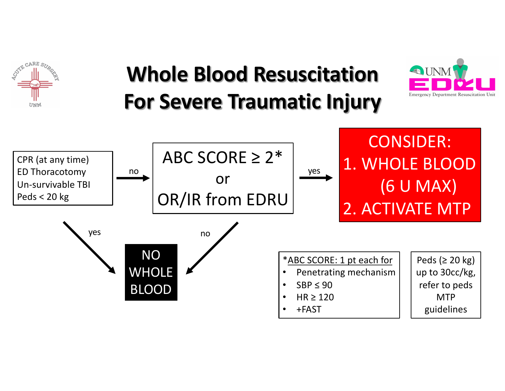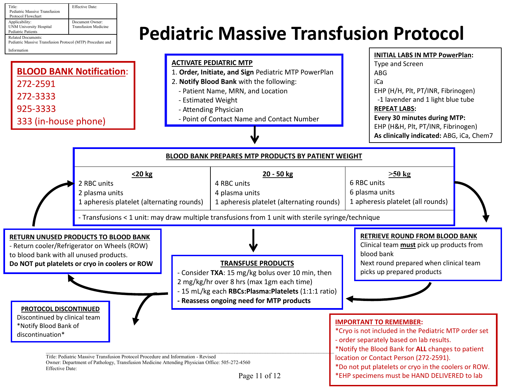| Title:<br>Pediatric Massive Transfusion<br>Protocol Flowchart                           | Effective Date:                                |  |
|-----------------------------------------------------------------------------------------|------------------------------------------------|--|
| Applicability:<br>UNM University Hospital<br><b>Pediatric Patients</b>                  | Document Owner:<br><b>Transfusion Medicine</b> |  |
| <b>Related Documents:</b><br>Pediatric Massive Transfusion Protocol (MTP) Procedure and |                                                |  |
| Information                                                                             |                                                |  |

## **Pediatric Massive Transfusion Protocol**